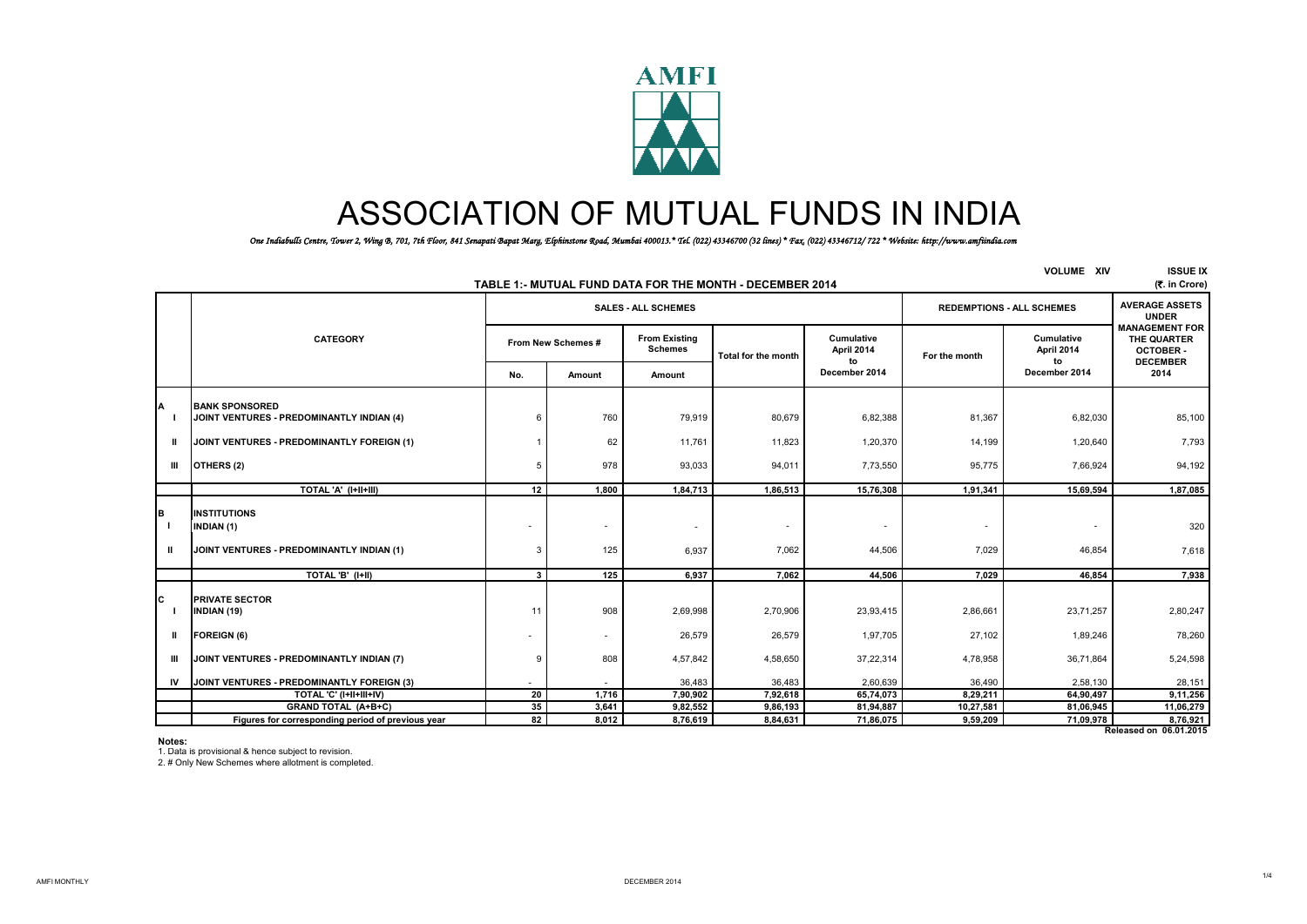

## ASSOCIATION OF MUTUAL FUNDS IN INDIA

*One Indiabulls Centre, Tower 2, Wing B, 701, 7th Floor, 841 Senapati Bapat Marg, Elphinstone Road, Mumbai 400013.\* Tel. (022) 43346700 (32 lines) \* Fax. (022) 43346712/ 722 \* Website: http://www.amfiindia.com*

|               |                                                                                       |                    |        |                                        | TABLE 1:- MUTUAL FUND DATA FOR THE MONTH - DECEMBER 2014 |                                |               | <b>VOLUME XIV</b>                | <b>ISSUE IX</b><br>(₹. in Crore)                                           |
|---------------|---------------------------------------------------------------------------------------|--------------------|--------|----------------------------------------|----------------------------------------------------------|--------------------------------|---------------|----------------------------------|----------------------------------------------------------------------------|
|               |                                                                                       |                    |        | <b>SALES - ALL SCHEMES</b>             |                                                          |                                |               | <b>REDEMPTIONS - ALL SCHEMES</b> | <b>AVERAGE ASSETS</b><br><b>UNDER</b>                                      |
|               | <b>CATEGORY</b>                                                                       | From New Schemes # |        | <b>From Existing</b><br><b>Schemes</b> | Total for the month                                      | Cumulative<br>April 2014<br>to | For the month | Cumulative<br>April 2014<br>to   | <b>MANAGEMENT FOR</b><br>THE QUARTER<br><b>OCTOBER-</b><br><b>DECEMBER</b> |
|               |                                                                                       | No.                | Amount | Amount                                 |                                                          | December 2014                  |               | December 2014                    | 2014                                                                       |
|               | <b>BANK SPONSORED</b><br>JOINT VENTURES - PREDOMINANTLY INDIAN (4)                    | 6                  | 760    | 79,919                                 | 80,679                                                   | 6,82,388                       | 81,367        | 6,82,030                         | 85,100                                                                     |
| Ш.            | JOINT VENTURES - PREDOMINANTLY FOREIGN (1)                                            |                    | 62     | 11,761                                 | 11,823                                                   | 1,20,370                       | 14,199        | 1,20,640                         | 7,793                                                                      |
| Ш             | OTHERS (2)                                                                            | 5                  | 978    | 93,033                                 | 94,011                                                   | 7,73,550                       | 95,775        | 7,66,924                         | 94,192                                                                     |
|               | TOTAL 'A' (I+II+III)                                                                  | 12                 | 1,800  | 1,84,713                               | 1,86,513                                                 | 15,76,308                      | 1,91,341      | 15,69,594                        | 1,87,085                                                                   |
| в<br>- 1<br>Ш | <b>INSTITUTIONS</b><br><b>INDIAN (1)</b><br>JOINT VENTURES - PREDOMINANTLY INDIAN (1) | ٠<br>3             | 125    | ٠<br>6,937                             | $\overline{\phantom{a}}$<br>7,062                        | $\sim$<br>44,506               | 7,029         | 46,854                           | 320<br>7,618                                                               |
|               | TOTAL 'B' (I+II)                                                                      | 3                  | 125    | 6,937                                  | 7,062                                                    | 44,506                         | 7,029         | 46,854                           | 7,938                                                                      |
| с             | <b>PRIVATE SECTOR</b><br>INDIAN (19)                                                  | 11                 | 908    | 2,69,998                               | 2,70,906                                                 | 23,93,415                      | 2,86,661      | 23,71,257                        | 2,80,247                                                                   |
| $\mathbf{u}$  | <b>FOREIGN (6)</b>                                                                    | ٠                  |        | 26,579                                 | 26,579                                                   | 1,97,705                       | 27,102        | 1,89,246                         | 78,260                                                                     |
| Ш             | JOINT VENTURES - PREDOMINANTLY INDIAN (7)                                             | 9                  | 808    | 4,57,842                               | 4,58,650                                                 | 37,22,314                      | 4,78,958      | 36,71,864                        | 5,24,598                                                                   |
| IV            | JOINT VENTURES - PREDOMINANTLY FOREIGN (3)                                            | ٠                  |        | 36,483                                 | 36,483                                                   | 2,60,639                       | 36,490        | 2,58,130                         | 28,151                                                                     |
|               | TOTAL 'C' (I+II+III+IV)                                                               | 20                 | 1,716  | 7,90,902                               | 7,92,618                                                 | 65,74,073                      | 8,29,211      | 64,90,497                        | 9,11,256                                                                   |
|               | GRAND TOTAL (A+B+C)                                                                   | 35                 | 3,641  | 9,82,552                               | 9,86,193                                                 | 81,94,887                      | 10,27,581     | 81,06,945                        | 11,06,279                                                                  |
|               | Figures for corresponding period of previous year                                     | 82                 | 8,012  | 8,76,619                               | 8,84,631                                                 | 71,86,075                      | 9,59,209      | 71,09,978                        | 8,76,921                                                                   |
|               |                                                                                       |                    |        |                                        |                                                          |                                |               |                                  | Released on 06.01.2015                                                     |

**Notes:**

1. Data is provisional & hence subject to revision.

2. # Only New Schemes where allotment is completed.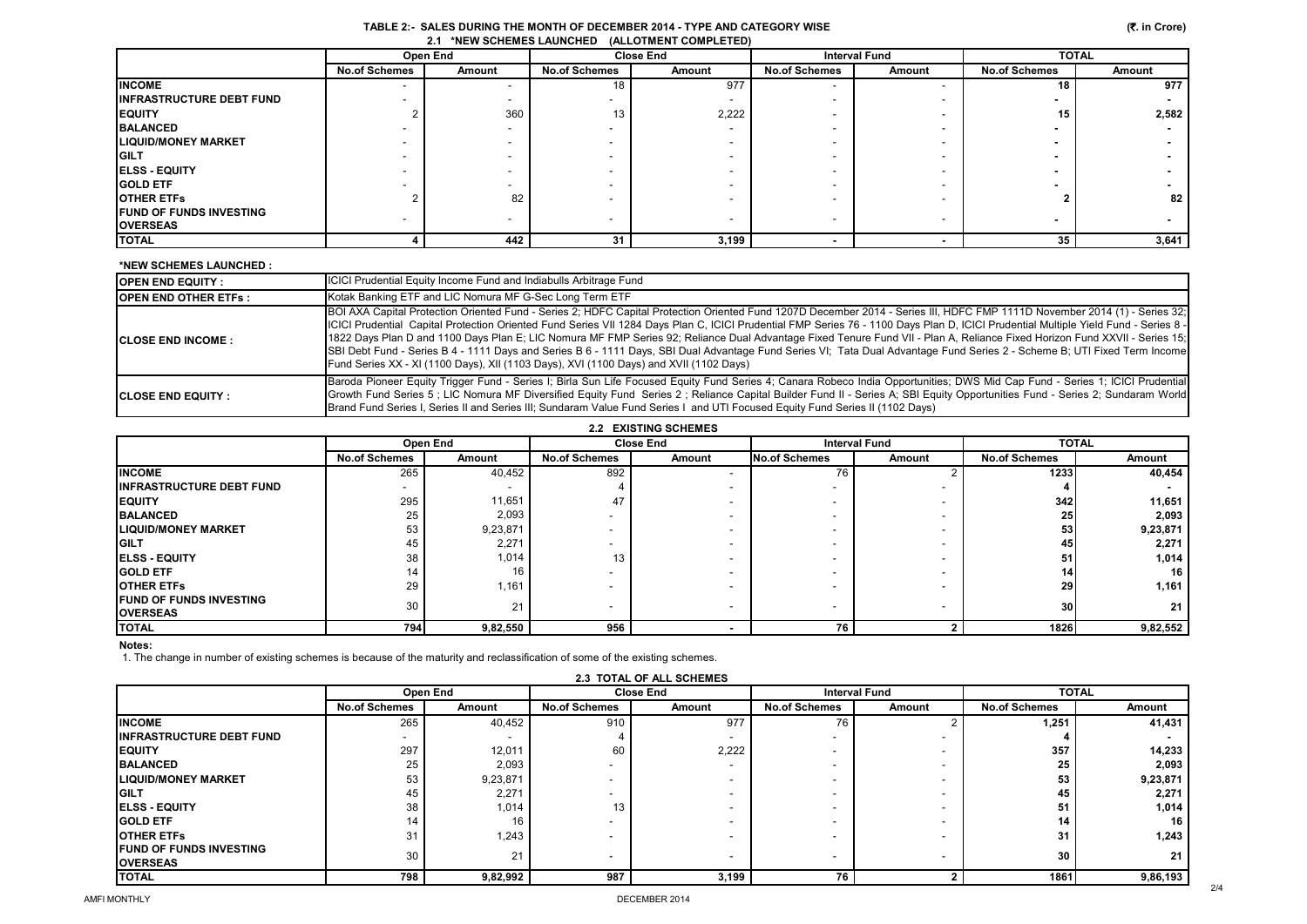|                                                 | TABLE 2:-  SALES DURING THE MONTH OF DECEMBER 2014 - TYPE AND CATEGORY WISE |
|-------------------------------------------------|-----------------------------------------------------------------------------|
| 2.1 *NEW SCHEMES LAUNCHED (ALLOTMENT COMPLETED) |                                                                             |

|                                 | Open End                 |                          |                          | <b>Close End</b> |                          | <b>Interval Fund</b>     | <b>TOTAL</b>         |        |
|---------------------------------|--------------------------|--------------------------|--------------------------|------------------|--------------------------|--------------------------|----------------------|--------|
|                                 | <b>No.of Schemes</b>     | Amount                   | <b>No.of Schemes</b>     | Amount           | <b>No.of Schemes</b>     | Amount                   | <b>No.of Schemes</b> | Amount |
| <b>INCOME</b>                   | $\overline{\phantom{a}}$ | $\overline{\phantom{a}}$ | 18                       | 977              | $\overline{\phantom{0}}$ |                          | 18                   | 977    |
| <b>INFRASTRUCTURE DEBT FUND</b> |                          | -                        |                          |                  |                          |                          |                      |        |
| <b>EQUITY</b>                   |                          | 360                      | 13                       | 2,222            |                          |                          | 15                   | 2,582  |
| <b>BALANCED</b>                 |                          | $\overline{\phantom{a}}$ |                          |                  |                          |                          |                      |        |
| <b>LIQUID/MONEY MARKET</b>      |                          | -                        |                          |                  | $\overline{\phantom{a}}$ |                          |                      |        |
| <b>IGILT</b>                    |                          | -                        |                          |                  |                          |                          |                      |        |
| <b>ELSS - EQUITY</b>            |                          | -                        |                          |                  |                          |                          |                      |        |
| <b>GOLD ETF</b>                 |                          |                          |                          |                  |                          |                          |                      |        |
| <b>IOTHER ETFS</b>              |                          | 82                       |                          |                  |                          |                          |                      | 82     |
| <b>FUND OF FUNDS INVESTING</b>  | -                        | $\overline{\phantom{a}}$ | $\overline{\phantom{a}}$ |                  | $\overline{\phantom{a}}$ | $\overline{\phantom{a}}$ |                      |        |
| <b>OVERSEAS</b>                 |                          |                          |                          |                  |                          |                          | $\blacksquare$       |        |
| <b>TOTAL</b>                    |                          | 442                      | 31                       | 3,199            |                          |                          | 35                   | 3,641  |

## **\*NEW SCHEMES LAUNCHED :**

| <b>IOPEN END EQUITY:</b>     | <b>ICICI Prudential Equity Income Fund and Indiabulls Arbitrage Fund</b>                                                                                                                                                                                                                                                                                                                                                                                                                                                                                                                                                                                                                                                                                                                                                |
|------------------------------|-------------------------------------------------------------------------------------------------------------------------------------------------------------------------------------------------------------------------------------------------------------------------------------------------------------------------------------------------------------------------------------------------------------------------------------------------------------------------------------------------------------------------------------------------------------------------------------------------------------------------------------------------------------------------------------------------------------------------------------------------------------------------------------------------------------------------|
| <b>IOPEN END OTHER ETFS:</b> | Kotak Banking ETF and LIC Nomura MF G-Sec Long Term ETF                                                                                                                                                                                                                                                                                                                                                                                                                                                                                                                                                                                                                                                                                                                                                                 |
| <b>ICLOSE END INCOME:</b>    | [BOI AXA Capital Protection Oriented Fund - Series 2; HDFC Capital Protection Oriented Fund 1207D December 2014 - Series III, HDFC FMP 1111D November 2014 (1) - Series 32;<br>ICICI Prudential Capital Protection Oriented Fund Series VII 1284 Days Plan C, ICICI Prudential FMP Series 76 - 1100 Days Plan D, ICICI Prudential Multiple Yield Fund - Series 8 -<br>1822 Days Plan D and 1100 Days Plan E; LIC Nomura MF FMP Series 92; Reliance Dual Advantage Fixed Tenure Fund VII - Plan A, Reliance Fixed Horizon Fund XXVII - Series 15;<br>SBI Debt Fund - Series B 4 - 1111 Days and Series B 6 - 1111 Days, SBI Dual Advantage Fund Series VI; Tata Dual Advantage Fund Series 2 - Scheme B; UTI Fixed Term Income<br>Fund Series XX - XI (1100 Days), XII (1103 Days), XVI (1100 Days) and XVII (1102 Days) |
| <b>ICLOSE END EQUITY :</b>   | Baroda Pioneer Equity Trigger Fund - Series I; Birla Sun Life Focused Equity Fund Series 4; Canara Robeco India Opportunities; DWS Mid Cap Fund - Series 1; ICICI Prudential<br>Growth Fund Series 5; LIC Nomura MF Diversified Equity Fund Series 2; Reliance Capital Builder Fund II - Series A; SBI Equity Opportunities Fund - Series 2; Sundaram World<br>Brand Fund Series I, Series II and Series III; Sundaram Value Fund Series I and UTI Focused Equity Fund Series II (1102 Days)                                                                                                                                                                                                                                                                                                                            |

|                                                    |                          | Open End |                      | <b>Close End</b> | <b>Interval Fund</b>     |                          | <b>TOTAL</b>         |          |
|----------------------------------------------------|--------------------------|----------|----------------------|------------------|--------------------------|--------------------------|----------------------|----------|
|                                                    | <b>No.of Schemes</b>     | Amount   | <b>No.of Schemes</b> | Amount           | No.of Schemes            | Amount                   | <b>No.of Schemes</b> | Amount   |
| <b>INCOME</b>                                      | 265                      | 40,452   | 892                  |                  | 76                       |                          | 1233                 | 40,454   |
| <b>IINFRASTRUCTURE DEBT FUND</b>                   | $\overline{\phantom{0}}$ |          |                      |                  | $\overline{\phantom{0}}$ |                          |                      |          |
| <b>EQUITY</b>                                      | 295                      | 11,651   | 47                   |                  | $\overline{\phantom{0}}$ |                          | 342                  | 11,651   |
| <b>BALANCED</b>                                    | 25                       | 2,093    |                      |                  | $\overline{\phantom{0}}$ |                          | 25                   | 2,093    |
| <b>ILIQUID/MONEY MARKET</b>                        | 53                       | 9,23,871 |                      |                  | $\overline{\phantom{0}}$ |                          | 53                   | 9,23,871 |
| <b>IGILT</b>                                       | 45                       | 2,271    |                      |                  |                          |                          | 45                   | 2,271    |
| <b>IELSS - EQUITY</b>                              | 38                       | 1,014    | 13                   |                  |                          |                          | 51                   | 1,014    |
| <b>IGOLD ETF</b>                                   | 14                       | 16       |                      |                  |                          |                          | 14                   | 16       |
| <b>IOTHER ETFS</b>                                 | 29                       | 1,161    |                      |                  |                          |                          | 29                   | 1,161    |
| <b>IFUND OF FUNDS INVESTING</b><br><b>OVERSEAS</b> | 30                       | 21       | -                    |                  | $\overline{\phantom{0}}$ | $\overline{\phantom{a}}$ | 30                   | 21       |
| <b>TOTAL</b>                                       | 794                      | 9,82,550 | 956                  |                  | 76                       |                          | 1826                 | 9,82,552 |

**Notes:**

1. The change in number of existing schemes is because of the maturity and reclassification of some of the existing schemes.

|                                                    |                      | Open End |                      | <b>Close End</b> | <b>Interval Fund</b>     |        | <b>TOTAL</b>         |          |
|----------------------------------------------------|----------------------|----------|----------------------|------------------|--------------------------|--------|----------------------|----------|
|                                                    | <b>No.of Schemes</b> | Amount   | <b>No.of Schemes</b> | Amount           | <b>No.of Schemes</b>     | Amount | <b>No.of Schemes</b> | Amount   |
| <b>INCOME</b>                                      | 265                  | 40,452   | 910                  | 977              | 76                       |        | 1,251                | 41,431   |
| <b>IINFRASTRUCTURE DEBT FUND</b>                   | -                    |          |                      |                  |                          |        |                      |          |
| <b>IEQUITY</b>                                     | 297                  | 12,011   | 60                   | 2,222            | -                        |        | 357                  | 14,233   |
| <b>BALANCED</b>                                    | 25                   | 2,093    |                      |                  |                          |        | 25                   | 2,093    |
| <b>ILIQUID/MONEY MARKET</b>                        | 53                   | 9,23,871 |                      |                  | $\overline{\phantom{0}}$ |        | 53                   | 9,23,871 |
| <b>IGILT</b>                                       | 45                   | 2,271    |                      |                  |                          |        | 45                   | 2,271    |
| <b>IELSS - EQUITY</b>                              | 38                   | 1,014    | 13                   |                  | $\overline{\phantom{0}}$ |        | 51                   | 1,014    |
| <b>IGOLD ETF</b>                                   | 14                   | 16       |                      |                  |                          |        | 14                   | 16       |
| <b>IOTHER ETFS</b>                                 | 31                   | 1,243    |                      |                  |                          |        | 31                   | 1,243    |
| <b>IFUND OF FUNDS INVESTING</b><br><b>OVERSEAS</b> | 30                   | 21       |                      |                  | $\overline{\phantom{a}}$ |        | 30                   | 21       |
| <b>TOTAL</b>                                       | 798                  | 9,82,992 | 987                  | 3,199            | 76                       |        | 1861                 | 9,86,193 |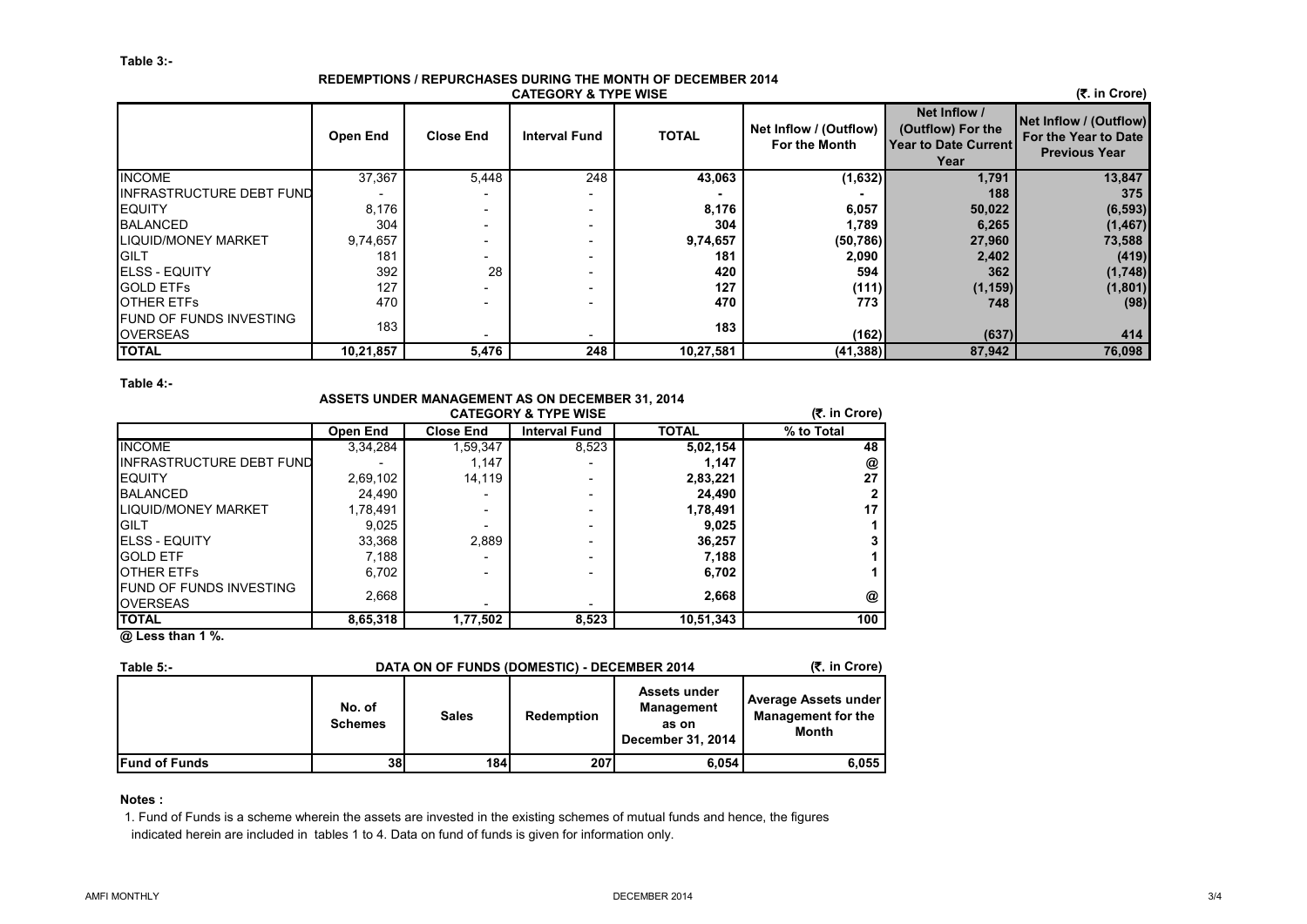## **REDEMPTIONS / REPURCHASES DURING THE MONTH OF DECEMBER 2014 CATEGORY & TYPE WISE**

 **(**`**. in Crore)**

|                                                    | Open End  | <b>Close End</b> | <b>Interval Fund</b>     | <b>TOTAL</b> | Net Inflow / (Outflow)<br>For the Month | Net Inflow /<br>(Outflow) For the<br><b>Year to Date Current</b><br>Year | Net Inflow / (Outflow)<br>For the Year to Date<br><b>Previous Year</b> |
|----------------------------------------------------|-----------|------------------|--------------------------|--------------|-----------------------------------------|--------------------------------------------------------------------------|------------------------------------------------------------------------|
| <b>INCOME</b>                                      | 37,367    | 5,448            | 248                      | 43,063       | (1,632)                                 | 1,791                                                                    | 13,847                                                                 |
| INFRASTRUCTURE DEBT FUND                           |           |                  | $\overline{\phantom{a}}$ |              |                                         | 188                                                                      | 375                                                                    |
| <b>EQUITY</b>                                      | 8,176     |                  | $\overline{\phantom{a}}$ | 8,176        | 6,057                                   | 50,022                                                                   | (6, 593)                                                               |
| <b>BALANCED</b>                                    | 304       |                  |                          | 304          | 1,789                                   | 6,265                                                                    | (1, 467)                                                               |
| <b>LIQUID/MONEY MARKET</b>                         | 9,74,657  |                  |                          | 9,74,657     | (50, 786)                               | 27,960                                                                   | 73,588                                                                 |
| <b>IGILT</b>                                       | 181       |                  |                          | 181          | 2,090                                   | 2,402                                                                    | (419)                                                                  |
| <b>IELSS - EQUITY</b>                              | 392       | 28               | $\overline{\phantom{a}}$ | 420          | 594                                     | 362                                                                      | (1,748)                                                                |
| <b>GOLD ETFS</b>                                   | 127       |                  |                          | 127          | (111)                                   | (1, 159)                                                                 | (1,801)                                                                |
| <b>IOTHER ETFS</b>                                 | 470       |                  |                          | 470          | 773                                     | 748                                                                      | (98)                                                                   |
| <b>IFUND OF FUNDS INVESTING</b><br><b>OVERSEAS</b> | 183       |                  | $\overline{\phantom{0}}$ | 183          | (162)                                   | (637)                                                                    | 414                                                                    |
| <b>TOTAL</b>                                       | 10,21,857 | 5,476            | 248                      | 10,27,581    | (41, 388)                               | 87,942                                                                   | 76,098                                                                 |

**Table 4:-**

|                                                   | <b>ASSETS UNDER MANAGEMENT AS ON DECEMBER 31, 2014</b><br>(₹. in Crore)<br><b>CATEGORY &amp; TYPE WISE</b> |                  |                          |              |            |  |  |  |  |  |
|---------------------------------------------------|------------------------------------------------------------------------------------------------------------|------------------|--------------------------|--------------|------------|--|--|--|--|--|
|                                                   | <b>Open End</b>                                                                                            | <b>Close End</b> | <b>Interval Fund</b>     | <b>TOTAL</b> | % to Total |  |  |  |  |  |
| <b>INCOME</b>                                     | 3,34,284                                                                                                   | 1,59,347         | 8,523                    | 5,02,154     | 48         |  |  |  |  |  |
| <b>INFRASTRUCTURE DEBT FUND</b>                   |                                                                                                            | 1,147            |                          | 1.147        | @          |  |  |  |  |  |
| <b>EQUITY</b>                                     | 2,69,102                                                                                                   | 14.119           |                          | 2,83,221     | 27         |  |  |  |  |  |
| <b>BALANCED</b>                                   | 24,490                                                                                                     |                  |                          | 24,490       |            |  |  |  |  |  |
| <b>LIQUID/MONEY MARKET</b>                        | 1,78,491                                                                                                   |                  | $\overline{\phantom{0}}$ | 1,78,491     | 17         |  |  |  |  |  |
| <b>GILT</b>                                       | 9,025                                                                                                      |                  |                          | 9,025        |            |  |  |  |  |  |
| <b>I</b> ELSS - EQUITY                            | 33,368                                                                                                     | 2.889            |                          | 36,257       |            |  |  |  |  |  |
| <b>GOLD ETF</b>                                   | 7,188                                                                                                      |                  |                          | 7,188        |            |  |  |  |  |  |
| <b>OTHER ETFS</b>                                 | 6,702                                                                                                      |                  |                          | 6,702        |            |  |  |  |  |  |
| <b>FUND OF FUNDS INVESTING</b><br><b>OVERSEAS</b> | 2,668                                                                                                      |                  |                          | 2,668        | @          |  |  |  |  |  |
| <b>TOTAL</b>                                      | 8,65,318                                                                                                   | 1,77,502         | 8,523                    | 10,51,343    | 100        |  |  |  |  |  |

**@ Less than 1 %.**

| Table $5 -$           | DATA ON OF FUNDS (DOMESTIC) - DECEMBER 2014 | (₹. in Crore) |            |                                                                 |                                                                          |
|-----------------------|---------------------------------------------|---------------|------------|-----------------------------------------------------------------|--------------------------------------------------------------------------|
|                       | No. of<br><b>Schemes</b>                    | <b>Sales</b>  | Redemption | Assets under<br><b>Management</b><br>as on<br>December 31, 2014 | <b>Average Assets under</b><br><b>Management for the</b><br><b>Month</b> |
| <b>IFund of Funds</b> | 38 <sup>l</sup>                             | <b>184</b>    | 207        | 6.054                                                           | 6,055                                                                    |

**Notes :**

1. Fund of Funds is a scheme wherein the assets are invested in the existing schemes of mutual funds and hence, the figures indicated herein are included in tables 1 to 4. Data on fund of funds is given for information only.